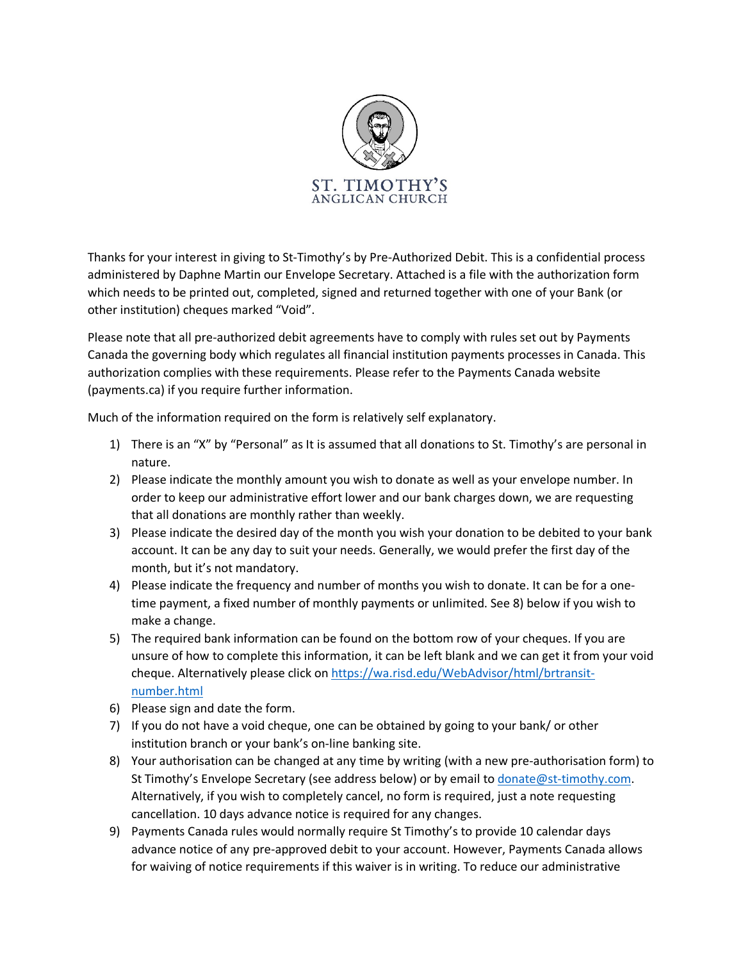

Thanks for your interest in giving to St-Timothy's by Pre-Authorized Debit. This is a confidential process administered by Daphne Martin our Envelope Secretary. Attached is a file with the authorization form which needs to be printed out, completed, signed and returned together with one of your Bank (or other institution) cheques marked "Void".

Please note that all pre-authorized debit agreements have to comply with rules set out by Payments Canada the governing body which regulates all financial institution payments processes in Canada. This authorization complies with these requirements. Please refer to the Payments Canada website (payments.ca) if you require further information.

Much of the information required on the form is relatively self explanatory.

- 1) There is an "X" by "Personal" as It is assumed that all donations to St. Timothy's are personal in nature.
- 2) Please indicate the monthly amount you wish to donate as well as your envelope number. In order to keep our administrative effort lower and our bank charges down, we are requesting that all donations are monthly rather than weekly.
- 3) Please indicate the desired day of the month you wish your donation to be debited to your bank account. It can be any day to suit your needs. Generally, we would prefer the first day of the month, but it's not mandatory.
- 4) Please indicate the frequency and number of months you wish to donate. It can be for a onetime payment, a fixed number of monthly payments or unlimited. See 8) below if you wish to make a change.
- 5) The required bank information can be found on the bottom row of your cheques. If you are unsure of how to complete this information, it can be left blank and we can get it from your void cheque. Alternatively please click on https://wa.risd.edu/WebAdvisor/html/brtransitnumber.html
- 6) Please sign and date the form.
- 7) If you do not have a void cheque, one can be obtained by going to your bank/ or other institution branch or your bank's on-line banking site.
- 8) Your authorisation can be changed at any time by writing (with a new pre-authorisation form) to St Timothy's Envelope Secretary (see address below) or by email to donate@st-timothy.com. Alternatively, if you wish to completely cancel, no form is required, just a note requesting cancellation. 10 days advance notice is required for any changes.
- 9) Payments Canada rules would normally require St Timothy's to provide 10 calendar days advance notice of any pre-approved debit to your account. However, Payments Canada allows for waiving of notice requirements if this waiver is in writing. To reduce our administrative